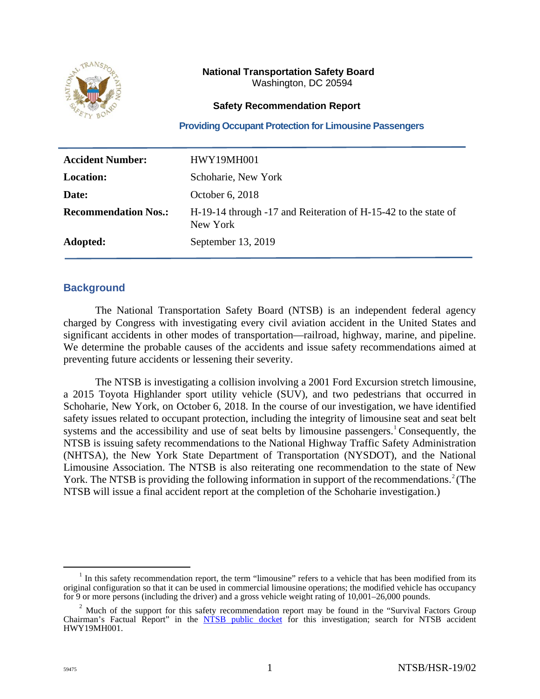

## **National Transportation Safety Board** Washington, DC 20594

### **Safety Recommendation Report**

**Providing Occupant Protection for Limousine Passengers** 

| <b>Accident Number:</b>     | <b>HWY19MH001</b>                                                          |
|-----------------------------|----------------------------------------------------------------------------|
| <b>Location:</b>            | Schoharie, New York                                                        |
| Date:                       | October 6, 2018                                                            |
| <b>Recommendation Nos.:</b> | H-19-14 through -17 and Reiteration of H-15-42 to the state of<br>New York |
| Adopted:                    | September 13, 2019                                                         |

## **Background**

The National Transportation Safety Board (NTSB) is an independent federal agency charged by Congress with investigating every civil aviation accident in the United States and significant accidents in other modes of transportation—railroad, highway, marine, and pipeline. We determine the probable causes of the accidents and issue safety recommendations aimed at preventing future accidents or lessening their severity.

The NTSB is investigating a collision involving a 2001 Ford Excursion stretch limousine, a 2015 Toyota Highlander sport utility vehicle (SUV), and two pedestrians that occurred in Schoharie, New York, on October 6, 2018. In the course of our investigation, we have identified safety issues related to occupant protection, including the integrity of limousine seat and seat belt systems and the accessibility and use of seat belts by limousine passengers.<sup>[1](#page-0-0)</sup> Consequently, the NTSB is issuing safety recommendations to the National Highway Traffic Safety Administration (NHTSA), the New York State Department of Transportation (NYSDOT), and the National Limousine Association. The NTSB is also reiterating one recommendation to the state of New York. The NTSB is providing the following information in support of the recommendations.<sup>[2](#page-0-1)</sup> (The NTSB will issue a final accident report at the completion of the Schoharie investigation.)

<span id="page-0-0"></span><sup>&</sup>lt;sup>1</sup> In this safety recommendation report, the term "limousine" refers to a vehicle that has been modified from its original configuration so that it can be used in commercial limousine operations; the modified vehicle has occupancy for 9 or more persons (including the driver) and a gross vehicle weight rating of 10,001–26,000 pounds.

<span id="page-0-1"></span> $2$  Much of the support for this safety recommendation report may be found in the "Survival Factors Group" Chairman's Factual Report" in the [NTSB public docket](https://www.ntsb.gov/investigations/SitePages/dms.aspx) for this investigation; search for NTSB accident HWY19MH001.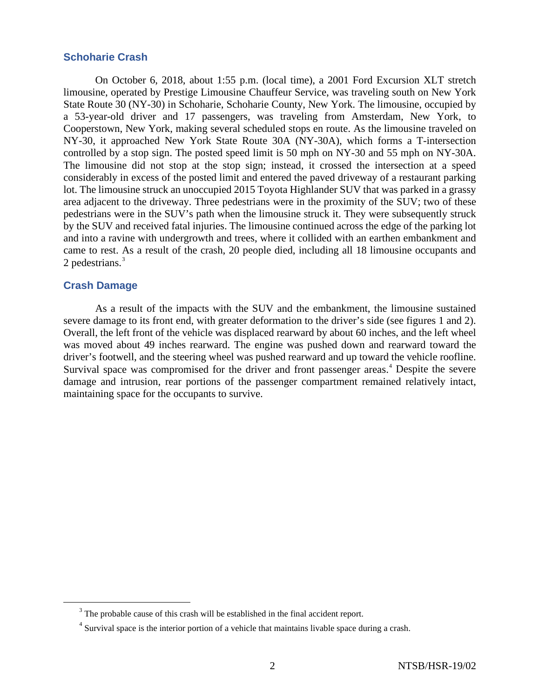## **Schoharie Crash**

On October 6, 2018, about 1:55 p.m. (local time), a 2001 Ford Excursion XLT stretch limousine, operated by Prestige Limousine Chauffeur Service, was traveling south on New York State Route 30 (NY-30) in Schoharie, Schoharie County, New York. The limousine, occupied by a 53-year-old driver and 17 passengers, was traveling from Amsterdam, New York, to Cooperstown, New York, making several scheduled stops en route. As the limousine traveled on NY-30, it approached New York State Route 30A (NY-30A), which forms a T-intersection controlled by a stop sign. The posted speed limit is 50 mph on NY-30 and 55 mph on NY-30A. The limousine did not stop at the stop sign; instead, it crossed the intersection at a speed considerably in excess of the posted limit and entered the paved driveway of a restaurant parking lot. The limousine struck an unoccupied 2015 Toyota Highlander SUV that was parked in a grassy area adjacent to the driveway. Three pedestrians were in the proximity of the SUV; two of these pedestrians were in the SUV's path when the limousine struck it. They were subsequently struck by the SUV and received fatal injuries. The limousine continued across the edge of the parking lot and into a ravine with undergrowth and trees, where it collided with an earthen embankment and came to rest. As a result of the crash, 20 people died, including all 18 limousine occupants and 2 pedestrians.<sup>[3](#page-1-0)</sup>

### **Crash Damage**

As a result of the impacts with the SUV and the embankment, the limousine sustained severe damage to its front end, with greater deformation to the driver's side (see figures 1 and 2). Overall, the left front of the vehicle was displaced rearward by about 60 inches, and the left wheel was moved about 49 inches rearward. The engine was pushed down and rearward toward the driver's footwell, and the steering wheel was pushed rearward and up toward the vehicle roofline. Survival space was compromised for the driver and front passenger areas.<sup>[4](#page-1-1)</sup> Despite the severe damage and intrusion, rear portions of the passenger compartment remained relatively intact, maintaining space for the occupants to survive.

<span id="page-1-0"></span> $3$  The probable cause of this crash will be established in the final accident report.

<span id="page-1-1"></span><sup>&</sup>lt;sup>4</sup> Survival space is the interior portion of a vehicle that maintains livable space during a crash.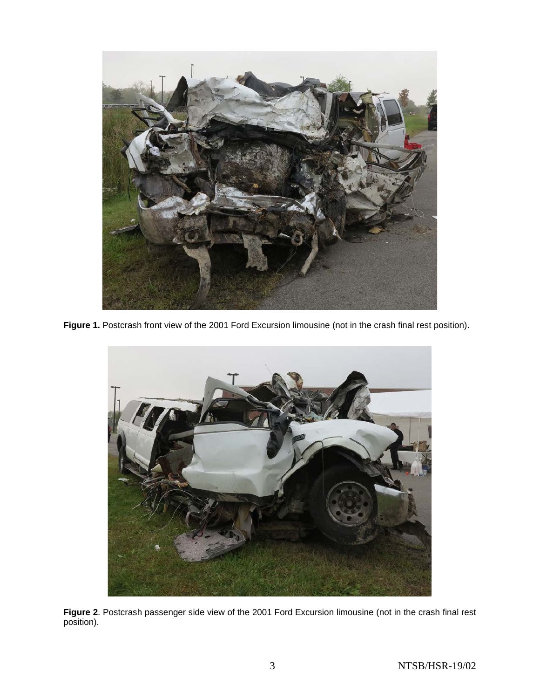

**Figure 1.** Postcrash front view of the 2001 Ford Excursion limousine (not in the crash final rest position).



**Figure 2**. Postcrash passenger side view of the 2001 Ford Excursion limousine (not in the crash final rest position).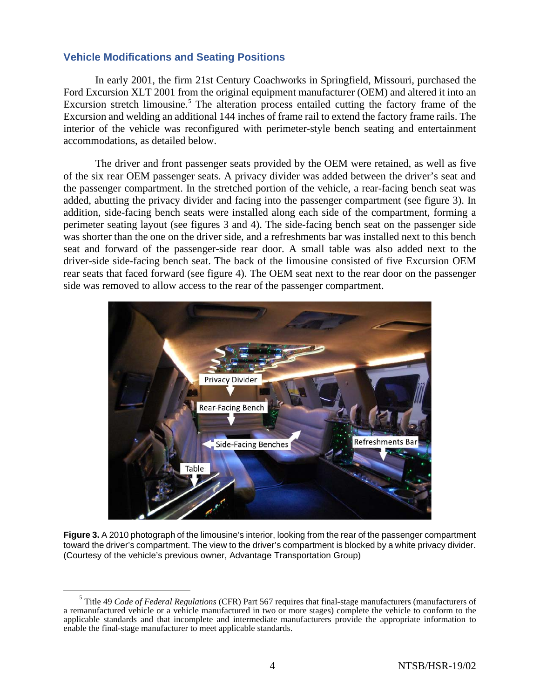### **Vehicle Modifications and Seating Positions**

In early 2001, the firm 21st Century Coachworks in Springfield, Missouri, purchased the Ford Excursion XLT 2001 from the original equipment manufacturer (OEM) and altered it into an Excursion stretch limousine.<sup>[5](#page-3-0)</sup> The alteration process entailed cutting the factory frame of the Excursion and welding an additional 144 inches of frame rail to extend the factory frame rails. The interior of the vehicle was reconfigured with perimeter-style bench seating and entertainment accommodations, as detailed below.

The driver and front passenger seats provided by the OEM were retained, as well as five of the six rear OEM passenger seats. A privacy divider was added between the driver's seat and the passenger compartment. In the stretched portion of the vehicle, a rear-facing bench seat was added, abutting the privacy divider and facing into the passenger compartment (see figure 3). In addition, side-facing bench seats were installed along each side of the compartment, forming a perimeter seating layout (see figures 3 and 4). The side-facing bench seat on the passenger side was shorter than the one on the driver side, and a refreshments bar was installed next to this bench seat and forward of the passenger-side rear door. A small table was also added next to the driver-side side-facing bench seat. The back of the limousine consisted of five Excursion OEM rear seats that faced forward (see figure 4). The OEM seat next to the rear door on the passenger side was removed to allow access to the rear of the passenger compartment.



**Figure 3.** A 2010 photograph of the limousine's interior, looking from the rear of the passenger compartment toward the driver's compartment. The view to the driver's compartment is blocked by a white privacy divider. (Courtesy of the vehicle's previous owner, Advantage Transportation Group)

<span id="page-3-0"></span><sup>5</sup> Title 49 *Code of Federal Regulations* (CFR) Part 567 requires that final-stage manufacturers (manufacturers of a remanufactured vehicle or a vehicle manufactured in two or more stages) complete the vehicle to conform to the applicable standards and that incomplete and intermediate manufacturers provide the appropriate information to enable the final-stage manufacturer to meet applicable standards.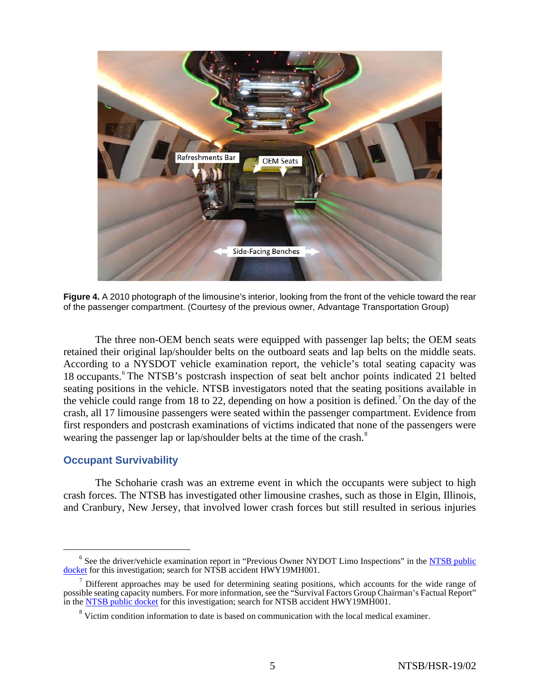

**Figure 4.** A 2010 photograph of the limousine's interior, looking from the front of the vehicle toward the rear of the passenger compartment. (Courtesy of the previous owner, Advantage Transportation Group)

The three non-OEM bench seats were equipped with passenger lap belts; the OEM seats retained their original lap/shoulder belts on the outboard seats and lap belts on the middle seats. According to a NYSDOT vehicle examination report, the vehicle's total seating capacity was 18 occupants. [6](#page-4-0) The NTSB's postcrash inspection of seat belt anchor points indicated 21 belted seating positions in the vehicle. NTSB investigators noted that the seating positions available in the vehicle could range from 18 to 22, depending on how a position is defined.<sup>[7](#page-4-1)</sup> On the day of the crash, all 17 limousine passengers were seated within the passenger compartment. Evidence from first responders and postcrash examinations of victims indicated that none of the passengers were wearing the passenger lap or lap/shoulder belts at the time of the crash.<sup>[8](#page-4-2)</sup>

## **Occupant Survivability**

The Schoharie crash was an extreme event in which the occupants were subject to high crash forces. The NTSB has investigated other limousine crashes, such as those in Elgin, Illinois, and Cranbury, New Jersey, that involved lower crash forces but still resulted in serious injuries

<span id="page-4-0"></span><sup>&</sup>lt;sup>6</sup> See the driver/vehicle examination report in "Previous Owner NYDOT Limo Inspections" in the NTSB public [docket](https://www.ntsb.gov/investigations/SitePages/dms.aspx) for this investigation; search for NTSB accident HWY19MH001.

<span id="page-4-2"></span><span id="page-4-1"></span> $<sup>7</sup>$  Different approaches may be used for determining seating positions, which accounts for the wide range of</sup> possible seating capacity numbers. For more information, see the "Survival Factors Group Chairman's Factual Report" in the **NTSB** public docket for this investigation; search for NTSB accident HWY19MH001.

<sup>&</sup>lt;sup>8</sup> Victim condition information to date is based on communication with the local medical examiner.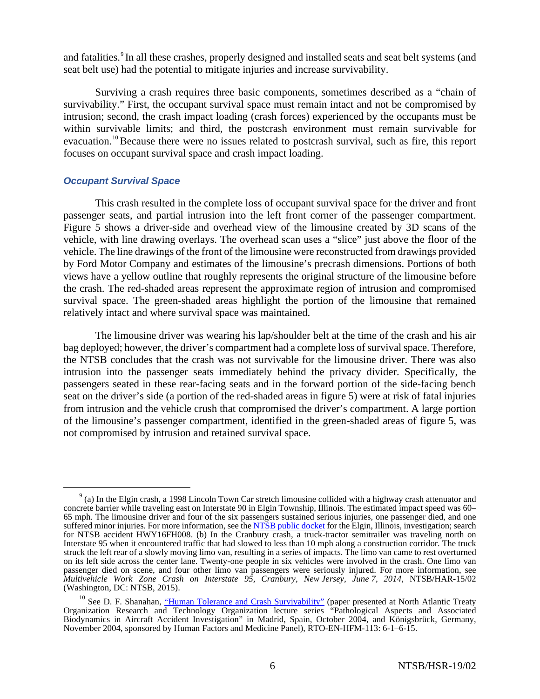and fatalities. <sup>[9](#page-5-0)</sup> In all these crashes, properly designed and installed seats and seat belt systems (and seat belt use) had the potential to mitigate injuries and increase survivability.

Surviving a crash requires three basic components, sometimes described as a "chain of survivability." First, the occupant survival space must remain intact and not be compromised by intrusion; second, the crash impact loading (crash forces) experienced by the occupants must be within survivable limits; and third, the postcrash environment must remain survivable for evacuation.<sup>[10](#page-5-1)</sup> Because there were no issues related to postcrash survival, such as fire, this report focuses on occupant survival space and crash impact loading.

### *Occupant Survival Space*

This crash resulted in the complete loss of occupant survival space for the driver and front passenger seats, and partial intrusion into the left front corner of the passenger compartment. Figure 5 shows a driver-side and overhead view of the limousine created by 3D scans of the vehicle, with line drawing overlays. The overhead scan uses a "slice" just above the floor of the vehicle. The line drawings of the front of the limousine were reconstructed from drawings provided by Ford Motor Company and estimates of the limousine's precrash dimensions. Portions of both views have a yellow outline that roughly represents the original structure of the limousine before the crash. The red-shaded areas represent the approximate region of intrusion and compromised survival space. The green-shaded areas highlight the portion of the limousine that remained relatively intact and where survival space was maintained.

The limousine driver was wearing his lap/shoulder belt at the time of the crash and his air bag deployed; however, the driver's compartment had a complete loss of survival space. Therefore, the NTSB concludes that the crash was not survivable for the limousine driver. There was also intrusion into the passenger seats immediately behind the privacy divider. Specifically, the passengers seated in these rear-facing seats and in the forward portion of the side-facing bench seat on the driver's side (a portion of the red-shaded areas in figure 5) were at risk of fatal injuries from intrusion and the vehicle crush that compromised the driver's compartment. A large portion of the limousine's passenger compartment, identified in the green-shaded areas of figure 5, was not compromised by intrusion and retained survival space.

<span id="page-5-0"></span> $9<sup>9</sup>$  (a) In the Elgin crash, a 1998 Lincoln Town Car stretch limousine collided with a highway crash attenuator and concrete barrier while traveling east on Interstate 90 in Elgin Township, Illinois. The estimated impact speed was 60– 65 mph. The limousine driver and four of the six passengers sustained serious injuries, one passenger died, and one suffered minor injuries. For more information, see th[e NTSB public docket](https://www.ntsb.gov/investigations/SitePages/dms.aspx) for the Elgin, Illinois, investigation; search for NTSB accident HWY16FH008. (b) In the Cranbury crash, a truck-tractor semitrailer was traveling north on Interstate 95 when it encountered traffic that had slowed to less than 10 mph along a construction corridor. The truck struck the left rear of a slowly moving limo van, resulting in a series of impacts. The limo van came to rest overturned on its left side across the center lane. Twenty-one people in six vehicles were involved in the crash. One limo van passenger died on scene, and four other limo van passengers were seriously injured. For more information, see *Multivehicle Work Zone Crash on Interstate 95, Cranbury, New Jersey, June 7, 2014*, NTSB/HAR-15/02 (Washington, DC: NTSB, 2015).

<span id="page-5-1"></span><sup>&</sup>lt;sup>10</sup> See D. F. Shanahan, <u>"Human Tolerance and Crash Survivability"</u> (paper presented at North Atlantic Treaty Organization Research and Technology Organization lecture series "Pathological Aspects and Associated Biodynamics in Aircraft Accident Investigation" in Madrid, Spain, October 2004, and Königsbrück, Germany, November 2004, sponsored by Human Factors and Medicine Panel), RTO-EN-HFM-113: 6-1–6-15.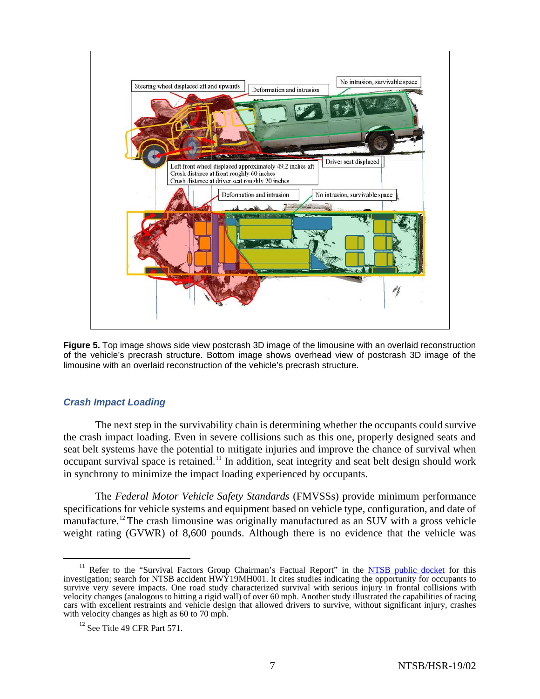

**Figure 5.** Top image shows side view postcrash 3D image of the limousine with an overlaid reconstruction of the vehicle's precrash structure. Bottom image shows overhead view of postcrash 3D image of the limousine with an overlaid reconstruction of the vehicle's precrash structure.

## *Crash Impact Loading*

The next step in the survivability chain is determining whether the occupants could survive the crash impact loading. Even in severe collisions such as this one, properly designed seats and seat belt systems have the potential to mitigate injuries and improve the chance of survival when occupant survival space is retained.<sup>[11](#page-6-0)</sup> In addition, seat integrity and seat belt design should work in synchrony to minimize the impact loading experienced by occupants.

The *Federal Motor Vehicle Safety Standards* (FMVSSs) provide minimum performance specifications for vehicle systems and equipment based on vehicle type, configuration, and date of manufacture.<sup>[12](#page-6-1)</sup> The crash limousine was originally manufactured as an SUV with a gross vehicle weight rating (GVWR) of 8,600 pounds. Although there is no evidence that the vehicle was

<span id="page-6-0"></span><sup>&</sup>lt;sup>11</sup> Refer to the "Survival Factors Group Chairman's Factual Report" in the **NTSB** public docket for this investigation; search for NTSB accident  $HW\bar{Y}19MH001$ . It cites studies indicating the opportunity for occupants to survive very severe impacts. One road study characterized survival with serious injury in frontal collisions with velocity changes (analogous to hitting a rigid wall) of over 60 mph. Another study illustrated the capabilities of racing cars with excellent restraints and vehicle design that allowed drivers to survive, without significant injury, crashes with velocity changes as high as 60 to 70 mph.

<span id="page-6-1"></span> $12$  See Title 49 CFR Part 571.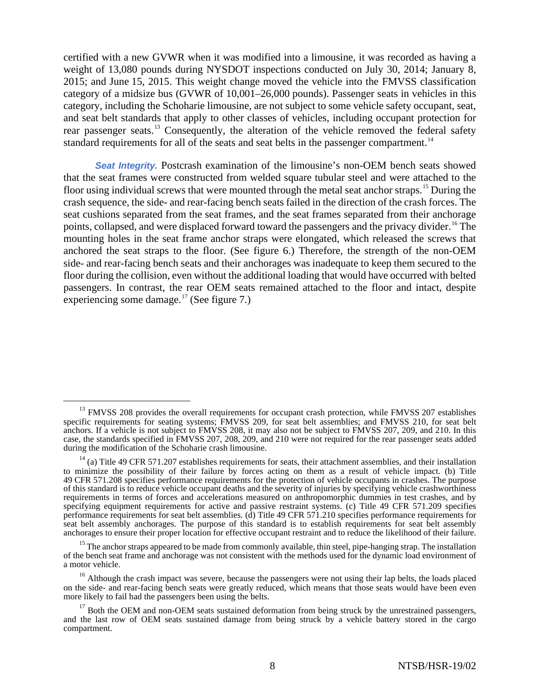certified with a new GVWR when it was modified into a limousine, it was recorded as having a weight of 13,080 pounds during NYSDOT inspections conducted on July 30, 2014; January 8, 2015; and June 15, 2015. This weight change moved the vehicle into the FMVSS classification category of a midsize bus (GVWR of 10,001–26,000 pounds). Passenger seats in vehicles in this category, including the Schoharie limousine, are not subject to some vehicle safety occupant, seat, and seat belt standards that apply to other classes of vehicles, including occupant protection for rear passenger seats.<sup>[13](#page-7-0)</sup> Consequently, the alteration of the vehicle removed the federal safety standard requirements for all of the seats and seat belts in the passenger compartment.<sup>[14](#page-7-1)</sup>

**Seat Integrity.** Postcrash examination of the limousine's non-OEM bench seats showed that the seat frames were constructed from welded square tubular steel and were attached to the floor using individual screws that were mounted through the metal seat anchor straps.<sup>[15](#page-7-2)</sup> During the crash sequence, the side- and rear-facing bench seats failed in the direction of the crash forces. The seat cushions separated from the seat frames, and the seat frames separated from their anchorage points, collapsed, and were displaced forward toward the passengers and the privacy divider.<sup>[16](#page-7-3)</sup> The mounting holes in the seat frame anchor straps were elongated, which released the screws that anchored the seat straps to the floor. (See figure 6.) Therefore, the strength of the non-OEM side- and rear-facing bench seats and their anchorages was inadequate to keep them secured to the floor during the collision, even without the additional loading that would have occurred with belted passengers. In contrast, the rear OEM seats remained attached to the floor and intact, despite experiencing some damage.<sup>[17](#page-7-4)</sup> (See figure 7.)

<span id="page-7-0"></span><sup>&</sup>lt;sup>13</sup> FMVSS 208 provides the overall requirements for occupant crash protection, while FMVSS 207 establishes specific requirements for seating systems; FMVSS 209, for seat belt assemblies; and FMVSS 210, for seat belt anchors. If a vehicle is not subject to FMVSS 208, it may also not be subject to FMVSS 207, 209, and 210. In this case, the standards specified in FMVSS 207, 208, 209, and 210 were not required for the rear passenger seats added during the modification of the Schoharie crash limousine.

<span id="page-7-1"></span> $14$  (a) Title 49 CFR 571.207 establishes requirements for seats, their attachment assemblies, and their installation to minimize the possibility of their failure by forces acting on them as a result of vehicle impact. (b) Title 49 CFR 571.208 specifies performance requirements for the protection of vehicle occupants in crashes. The purpose of this standard is to reduce vehicle occupant deaths and the severity of injuries by specifying vehicle crashworthiness requirements in terms of forces and accelerations measured on anthropomorphic dummies in test crashes, and by specifying equipment requirements for active and passive restraint systems. (c) Title 49 CFR 571.209 specifies performance requirements for seat belt assemblies. (d) Title 49 CFR 571.210 specifies performance requirements for seat belt assembly anchorages. The purpose of this standard is to establish requirements for seat belt assembly anchorages to ensure their proper location for effective occupant restraint and to reduce the likelihood of their failure.

<span id="page-7-2"></span><sup>&</sup>lt;sup>15</sup> The anchor straps appeared to be made from commonly available, thin steel, pipe-hanging strap. The installation of the bench seat frame and anchorage was not consistent with the methods used for the dynamic load environment of a motor vehicle.

<span id="page-7-3"></span><sup>&</sup>lt;sup>16</sup> Although the crash impact was severe, because the passengers were not using their lap belts, the loads placed on the side- and rear-facing bench seats were greatly reduced, which means that those seats would have been even more likely to fail had the passengers been using the belts.

<span id="page-7-4"></span><sup>&</sup>lt;sup>17</sup> Both the OEM and non-OEM seats sustained deformation from being struck by the unrestrained passengers, and the last row of OEM seats sustained damage from being struck by a vehicle battery stored in the cargo compartment.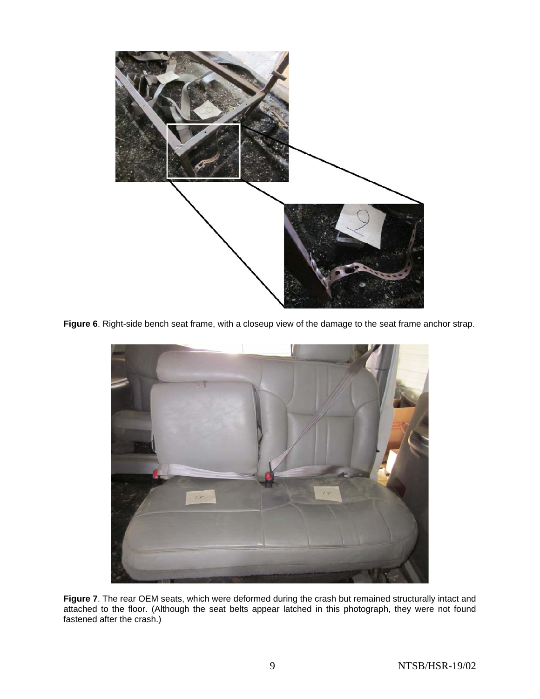

**Figure 6**. Right-side bench seat frame, with a closeup view of the damage to the seat frame anchor strap.



**Figure 7**. The rear OEM seats, which were deformed during the crash but remained structurally intact and attached to the floor. (Although the seat belts appear latched in this photograph, they were not found fastened after the crash.)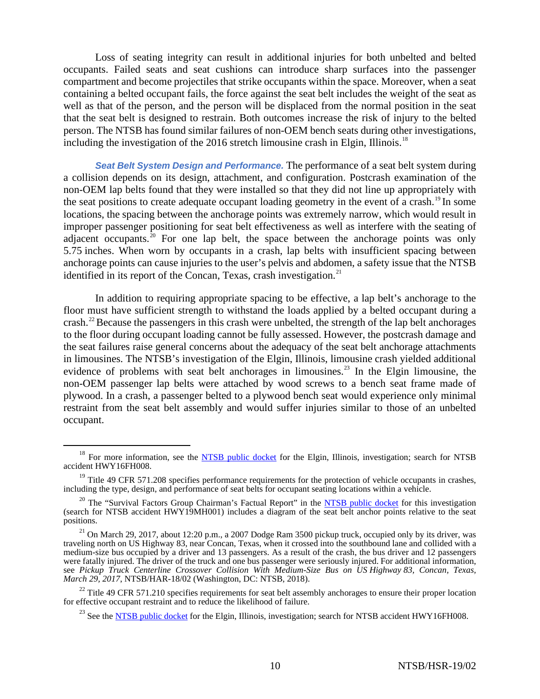Loss of seating integrity can result in additional injuries for both unbelted and belted occupants. Failed seats and seat cushions can introduce sharp surfaces into the passenger compartment and become projectiles that strike occupants within the space. Moreover, when a seat containing a belted occupant fails, the force against the seat belt includes the weight of the seat as well as that of the person, and the person will be displaced from the normal position in the seat that the seat belt is designed to restrain. Both outcomes increase the risk of injury to the belted person. The NTSB has found similar failures of non-OEM bench seats during other investigations, including the investigation of the 2016 stretch limousine crash in Elgin, Illinois.<sup>[18](#page-9-0)</sup>

*Seat Belt System Design and Performance.* The performance of a seat belt system during a collision depends on its design, attachment, and configuration. Postcrash examination of the non-OEM lap belts found that they were installed so that they did not line up appropriately with the seat positions to create adequate occupant loading geometry in the event of a crash.<sup>[19](#page-9-1)</sup> In some locations, the spacing between the anchorage points was extremely narrow, which would result in improper passenger positioning for seat belt effectiveness as well as interfere with the seating of adjacent occupants.<sup>[20](#page-9-2)</sup> For one lap belt, the space between the anchorage points was only 5.75 inches. When worn by occupants in a crash, lap belts with insufficient spacing between anchorage points can cause injuries to the user's pelvis and abdomen, a safety issue that the NTSB identified in its report of the Concan, Texas, crash investigation.<sup>[21](#page-9-3)</sup>

In addition to requiring appropriate spacing to be effective, a lap belt's anchorage to the floor must have sufficient strength to withstand the loads applied by a belted occupant during a crash.<sup>[22](#page-9-4)</sup> Because the passengers in this crash were unbelted, the strength of the lap belt anchorages to the floor during occupant loading cannot be fully assessed. However, the postcrash damage and the seat failures raise general concerns about the adequacy of the seat belt anchorage attachments in limousines. The NTSB's investigation of the Elgin, Illinois, limousine crash yielded additional evidence of problems with seat belt anchorages in limousines.<sup>[23](#page-9-5)</sup> In the Elgin limousine, the non-OEM passenger lap belts were attached by wood screws to a bench seat frame made of plywood. In a crash, a passenger belted to a plywood bench seat would experience only minimal restraint from the seat belt assembly and would suffer injuries similar to those of an unbelted occupant.

<span id="page-9-0"></span><sup>&</sup>lt;sup>18</sup> For more information, see the [NTSB public docket](https://www.ntsb.gov/investigations/SitePages/dms.aspx) for the Elgin, Illinois, investigation; search for NTSB accident HWY16FH008.

<span id="page-9-1"></span><sup>&</sup>lt;sup>19</sup> Title 49 CFR 571.208 specifies performance requirements for the protection of vehicle occupants in crashes, including the type, design, and performance of seat belts for occupant seating locations within a vehicle.

<span id="page-9-2"></span> $20$  The "Survival Factors Group Chairman's Factual Report" in the [NTSB public docket](https://www.ntsb.gov/investigations/SitePages/dms.aspx) for this investigation (search for NTSB accident HWY19MH001) includes a diagram of the seat belt anchor points relative to the seat positions.

<span id="page-9-3"></span><sup>&</sup>lt;sup>21</sup> On March 29, 2017, about 12:20 p.m., a 2007 Dodge Ram 3500 pickup truck, occupied only by its driver, was traveling north on US Highway 83, near Concan, Texas, when it crossed into the southbound lane and collided with a medium-size bus occupied by a driver and 13 passengers. As a result of the crash, the bus driver and 12 passengers were fatally injured. The driver of the truck and one bus passenger were seriously injured. For additional information, see *Pickup Truck Centerline Crossover Collision With Medium-Size Bus on US Highway 83, Concan, Texas, March 29, 2017*, NTSB/HAR-18/02 (Washington, DC: NTSB, 2018).

<span id="page-9-5"></span><span id="page-9-4"></span> $22$  Title 49 CFR 571.210 specifies requirements for seat belt assembly anchorages to ensure their proper location for effective occupant restraint and to reduce the likelihood of failure.

<sup>&</sup>lt;sup>23</sup> See th[e NTSB public docket](https://www.ntsb.gov/investigations/SitePages/dms.aspx) for the Elgin, Illinois, investigation; search for NTSB accident HWY16FH008.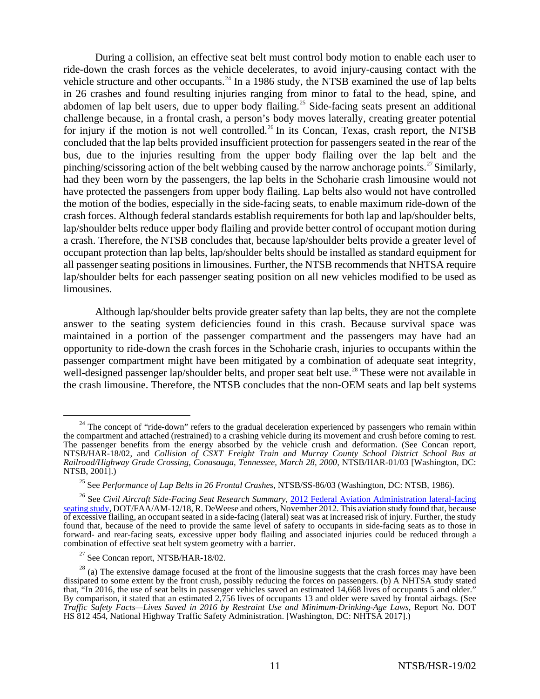During a collision, an effective seat belt must control body motion to enable each user to ride-down the crash forces as the vehicle decelerates, to avoid injury-causing contact with the vehicle structure and other occupants.<sup>[24](#page-10-0)</sup> In a 1986 study, the NTSB examined the use of lap belts in 26 crashes and found resulting injuries ranging from minor to fatal to the head, spine, and abdomen of lap belt users, due to upper body flailing.<sup>[25](#page-10-1)</sup> Side-facing seats present an additional challenge because, in a frontal crash, a person's body moves laterally, creating greater potential for injury if the motion is not well controlled.<sup>[26](#page-10-2)</sup> In its Concan, Texas, crash report, the NTSB concluded that the lap belts provided insufficient protection for passengers seated in the rear of the bus, due to the injuries resulting from the upper body flailing over the lap belt and the pinching/scissoring action of the belt webbing caused by the narrow anchorage points.<sup>[27](#page-10-3)</sup> Similarly, had they been worn by the passengers, the lap belts in the Schoharie crash limousine would not have protected the passengers from upper body flailing. Lap belts also would not have controlled the motion of the bodies, especially in the side-facing seats, to enable maximum ride-down of the crash forces. Although federal standards establish requirements for both lap and lap/shoulder belts, lap/shoulder belts reduce upper body flailing and provide better control of occupant motion during a crash. Therefore, the NTSB concludes that, because lap/shoulder belts provide a greater level of occupant protection than lap belts, lap/shoulder belts should be installed as standard equipment for all passenger seating positions in limousines. Further, the NTSB recommends that NHTSA require lap/shoulder belts for each passenger seating position on all new vehicles modified to be used as limousines.

Although lap/shoulder belts provide greater safety than lap belts, they are not the complete answer to the seating system deficiencies found in this crash. Because survival space was maintained in a portion of the passenger compartment and the passengers may have had an opportunity to ride-down the crash forces in the Schoharie crash, injuries to occupants within the passenger compartment might have been mitigated by a combination of adequate seat integrity, well-designed passenger lap/shoulder belts, and proper seat belt use.<sup>[28](#page-10-4)</sup> These were not available in the crash limousine. Therefore, the NTSB concludes that the non-OEM seats and lap belt systems

<span id="page-10-0"></span><sup>&</sup>lt;sup>24</sup> The concept of "ride-down" refers to the gradual deceleration experienced by passengers who remain within the compartment and attached (restrained) to a crashing vehicle during its movement and crush before coming to rest. The passenger benefits from the energy absorbed by the vehicle crush and deformation. (See Concan report, NTSB/HAR-18/02, and *Collision of CSXT Freight Train and Murray County School District School Bus at Railroad/Highway Grade Crossing, Conasauga, Tennessee, March 28, 2000,* NTSB/HAR-01/03 [Washington, DC: NTSB, 2001].)

<sup>25</sup> See *Performance of Lap Belts in 26 Frontal Crashes*, NTSB/SS-86/03 (Washington, DC: NTSB, 1986).

<span id="page-10-2"></span><span id="page-10-1"></span><sup>26</sup> See *Civil Aircraft Side-Facing Seat Research Summary,* [2012 Federal Aviation Administration lateral-facing](https://www.faa.gov/data_research/research/med_humanfacs/oamtechreports/2010s/media/201218.pdf)  [seating study,](https://www.faa.gov/data_research/research/med_humanfacs/oamtechreports/2010s/media/201218.pdf) DOT/FAA/AM-12/18, R. DeWeese and others, November 2012. This aviation study found that, because of excessive flailing, an occupant seated in a side-facing (lateral) seat was at increased risk of injury. Further, the study found that, because of the need to provide the same level of safety to occupants in side-facing seats as to those in forward- and rear-facing seats, excessive upper body flailing and associated injuries could be reduced through a combination of effective seat belt system geometry with a barrier.

 $27$  See Concan report, NTSB/HAR-18/02.

<span id="page-10-4"></span><span id="page-10-3"></span> $28$  (a) The extensive damage focused at the front of the limousine suggests that the crash forces may have been dissipated to some extent by the front crush, possibly reducing the forces on passengers. (b) A NHTSA study stated that, "In 2016, the use of seat belts in passenger vehicles saved an estimated 14,668 lives of occupants 5 and older." By comparison, it stated that an estimated 2,756 lives of occupants 13 and older were saved by frontal airbags. (See *Traffic Safety Facts—Lives Saved in 2016 by Restraint Use and Minimum-Drinking-Age Laws*, Report No. DOT HS 812 454, National Highway Traffic Safety Administration. [Washington, DC: NHTSA 2017].)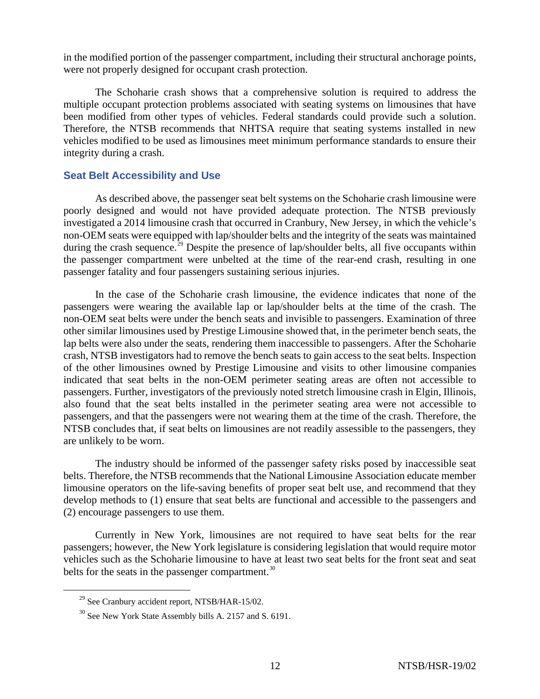in the modified portion of the passenger compartment, including their structural anchorage points, were not properly designed for occupant crash protection.

The Schoharie crash shows that a comprehensive solution is required to address the multiple occupant protection problems associated with seating systems on limousines that have been modified from other types of vehicles. Federal standards could provide such a solution. Therefore, the NTSB recommends that NHTSA require that seating systems installed in new vehicles modified to be used as limousines meet minimum performance standards to ensure their integrity during a crash.

## **Seat Belt Accessibility and Use**

As described above, the passenger seat belt systems on the Schoharie crash limousine were poorly designed and would not have provided adequate protection. The NTSB previously investigated a 2014 limousine crash that occurred in Cranbury, New Jersey, in which the vehicle's non-OEM seats were equipped with lap/shoulder belts and the integrity of the seats was maintained during the crash sequence.<sup>[29](#page-11-0)</sup> Despite the presence of lap/shoulder belts, all five occupants within the passenger compartment were unbelted at the time of the rear-end crash, resulting in one passenger fatality and four passengers sustaining serious injuries.

In the case of the Schoharie crash limousine, the evidence indicates that none of the passengers were wearing the available lap or lap/shoulder belts at the time of the crash. The non-OEM seat belts were under the bench seats and invisible to passengers. Examination of three other similar limousines used by Prestige Limousine showed that, in the perimeter bench seats, the lap belts were also under the seats, rendering them inaccessible to passengers. After the Schoharie crash, NTSB investigators had to remove the bench seats to gain access to the seat belts. Inspection of the other limousines owned by Prestige Limousine and visits to other limousine companies indicated that seat belts in the non-OEM perimeter seating areas are often not accessible to passengers. Further, investigators of the previously noted stretch limousine crash in Elgin, Illinois, also found that the seat belts installed in the perimeter seating area were not accessible to passengers, and that the passengers were not wearing them at the time of the crash. Therefore, the NTSB concludes that, if seat belts on limousines are not readily assessible to the passengers, they are unlikely to be worn.

The industry should be informed of the passenger safety risks posed by inaccessible seat belts. Therefore, the NTSB recommends that the National Limousine Association educate member limousine operators on the life-saving benefits of proper seat belt use, and recommend that they develop methods to (1) ensure that seat belts are functional and accessible to the passengers and (2) encourage passengers to use them.

Currently in New York, limousines are not required to have seat belts for the rear passengers; however, the New York legislature is considering legislation that would require motor vehicles such as the Schoharie limousine to have at least two seat belts for the front seat and seat belts for the seats in the passenger compartment. $30$ 

<span id="page-11-0"></span> $^{29}$  See Cranbury accident report, NTSB/HAR-15/02.

<span id="page-11-1"></span><sup>&</sup>lt;sup>30</sup> See New York State Assembly bills [A. 2157](https://nyassembly.gov/leg/?default_fld=%0D%0A&leg_video=&bn=a2157&term=2019&Summary=Y&Actions=Y&Memo=Y) and [S. 6191.](https://nyassembly.gov/leg/?default_fld=&leg_video=&bn=S06191&term=2019&Summary=Y&Actions=Y)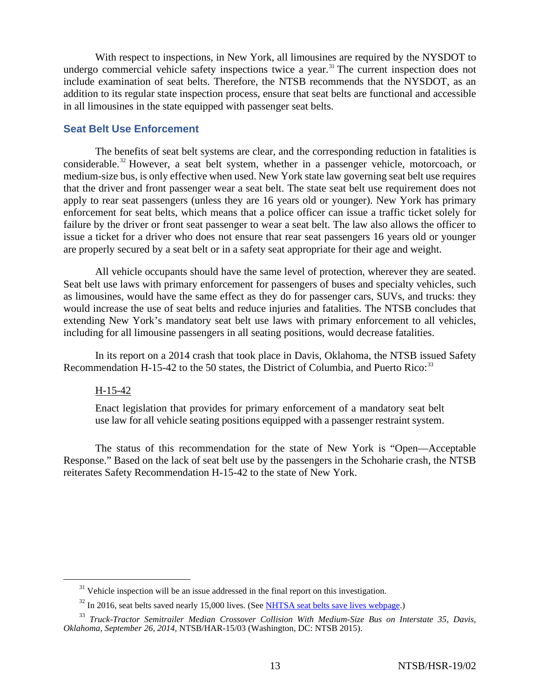With respect to inspections, in New York, all limousines are required by the NYSDOT to undergo commercial vehicle safety inspections twice a year.<sup>[31](#page-12-0)</sup> The current inspection does not include examination of seat belts. Therefore, the NTSB recommends that the NYSDOT, as an addition to its regular state inspection process, ensure that seat belts are functional and accessible in all limousines in the state equipped with passenger seat belts.

### **Seat Belt Use Enforcement**

The benefits of seat belt systems are clear, and the corresponding reduction in fatalities is considerable.<sup>[32](#page-12-1)</sup> However, a seat belt system, whether in a passenger vehicle, motorcoach, or medium-size bus, is only effective when used. New York state law governing seat belt use requires that the driver and front passenger wear a seat belt. The state seat belt use requirement does not apply to rear seat passengers (unless they are 16 years old or younger). New York has primary enforcement for seat belts, which means that a police officer can issue a traffic ticket solely for failure by the driver or front seat passenger to wear a seat belt. The law also allows the officer to issue a ticket for a driver who does not ensure that rear seat passengers 16 years old or younger are properly secured by a seat belt or in a safety seat appropriate for their age and weight.

All vehicle occupants should have the same level of protection, wherever they are seated. Seat belt use laws with primary enforcement for passengers of buses and specialty vehicles, such as limousines, would have the same effect as they do for passenger cars, SUVs, and trucks: they would increase the use of seat belts and reduce injuries and fatalities. The NTSB concludes that extending New York's mandatory seat belt use laws with primary enforcement to all vehicles, including for all limousine passengers in all seating positions, would decrease fatalities.

In its report on a 2014 crash that took place in Davis, Oklahoma, the NTSB issued Safety Recommendation H-15-42 to the 50 states, the District of Columbia, and Puerto Rico: $33$ 

### H-15-42

Enact legislation that provides for primary enforcement of a mandatory seat belt use law for all vehicle seating positions equipped with a passenger restraint system.

The status of this recommendation for the state of New York is "Open—Acceptable Response." Based on the lack of seat belt use by the passengers in the Schoharie crash, the NTSB reiterates Safety Recommendation H-15-42 to the state of New York.

 $31$  Vehicle inspection will be an issue addressed in the final report on this investigation.

 $32$  In 2016, seat belts saved nearly 15,000 lives. (See [NHTSA seat belts save lives webpage.](https://www.nhtsa.gov/seat-belts/seat-belts-save-lives))

<span id="page-12-2"></span><span id="page-12-1"></span><span id="page-12-0"></span><sup>33</sup> *Truck-Tractor Semitrailer Median Crossover Collision With Medium-Size Bus on Interstate 35, Davis, Oklahoma, September 26, 2014*, NTSB/HAR-15/03 (Washington, DC: NTSB 2015).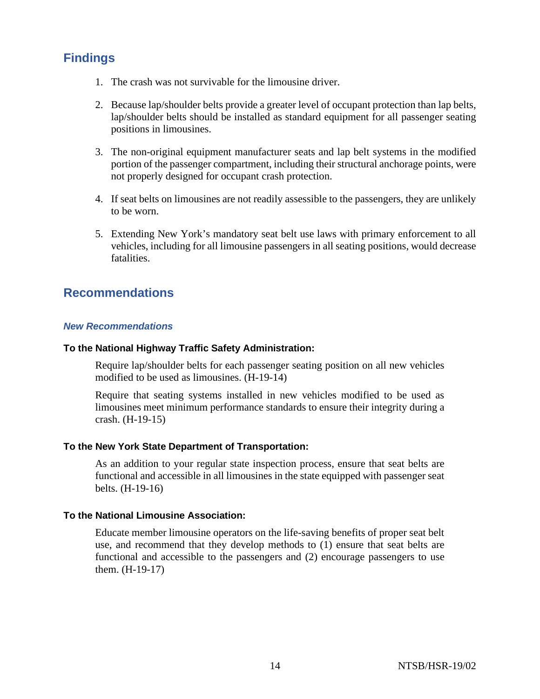# **Findings**

- 1. The crash was not survivable for the limousine driver.
- 2. Because lap/shoulder belts provide a greater level of occupant protection than lap belts, lap/shoulder belts should be installed as standard equipment for all passenger seating positions in limousines.
- 3. The non-original equipment manufacturer seats and lap belt systems in the modified portion of the passenger compartment, including their structural anchorage points, were not properly designed for occupant crash protection.
- 4. If seat belts on limousines are not readily assessible to the passengers, they are unlikely to be worn.
- 5. Extending New York's mandatory seat belt use laws with primary enforcement to all vehicles, including for all limousine passengers in all seating positions, would decrease fatalities.

# **Recommendations**

## *New Recommendations*

### **To the National Highway Traffic Safety Administration:**

Require lap/shoulder belts for each passenger seating position on all new vehicles modified to be used as limousines. (H-19-14)

Require that seating systems installed in new vehicles modified to be used as limousines meet minimum performance standards to ensure their integrity during a crash. (H-19-15)

## **To the New York State Department of Transportation:**

As an addition to your regular state inspection process, ensure that seat belts are functional and accessible in all limousines in the state equipped with passenger seat belts. (H-19-16)

#### **To the National Limousine Association:**

Educate member limousine operators on the life-saving benefits of proper seat belt use, and recommend that they develop methods to (1) ensure that seat belts are functional and accessible to the passengers and (2) encourage passengers to use them. (H-19-17)